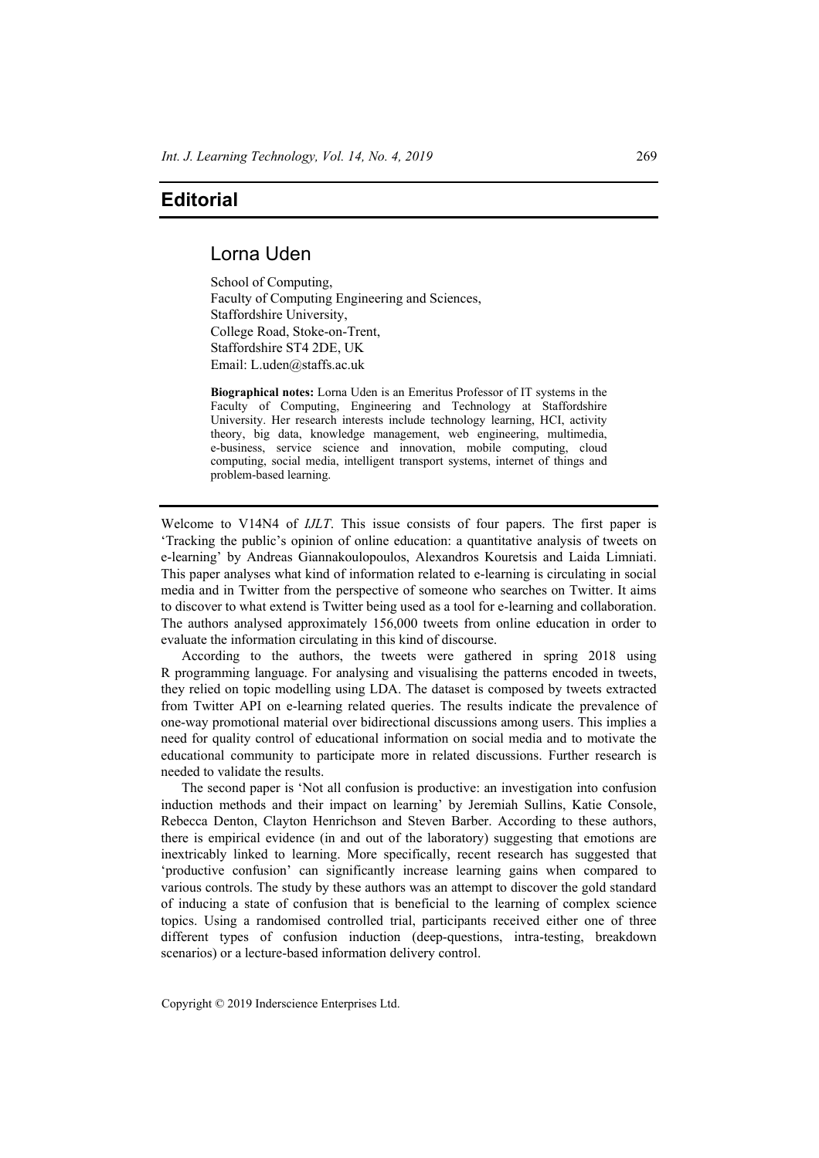## **Editorial**

## Lorna Uden

School of Computing, Faculty of Computing Engineering and Sciences, Staffordshire University, College Road, Stoke-on-Trent, Staffordshire ST4 2DE, UK Email: L.uden@staffs.ac.uk

**Biographical notes:** Lorna Uden is an Emeritus Professor of IT systems in the Faculty of Computing, Engineering and Technology at Staffordshire University. Her research interests include technology learning, HCI, activity theory, big data, knowledge management, web engineering, multimedia, e-business, service science and innovation, mobile computing, cloud computing, social media, intelligent transport systems, internet of things and problem-based learning.

Welcome to V14N4 of *IJLT*. This issue consists of four papers. The first paper is 'Tracking the public's opinion of online education: a quantitative analysis of tweets on e-learning' by Andreas Giannakoulopoulos, Alexandros Kouretsis and Laida Limniati. This paper analyses what kind of information related to e-learning is circulating in social media and in Twitter from the perspective of someone who searches on Twitter. It aims to discover to what extend is Twitter being used as a tool for e-learning and collaboration. The authors analysed approximately 156,000 tweets from online education in order to evaluate the information circulating in this kind of discourse.

According to the authors, the tweets were gathered in spring 2018 using R programming language. For analysing and visualising the patterns encoded in tweets, they relied on topic modelling using LDA. The dataset is composed by tweets extracted from Twitter API on e-learning related queries. The results indicate the prevalence of one-way promotional material over bidirectional discussions among users. This implies a need for quality control of educational information on social media and to motivate the educational community to participate more in related discussions. Further research is needed to validate the results.

The second paper is 'Not all confusion is productive: an investigation into confusion induction methods and their impact on learning' by Jeremiah Sullins, Katie Console, Rebecca Denton, Clayton Henrichson and Steven Barber. According to these authors, there is empirical evidence (in and out of the laboratory) suggesting that emotions are inextricably linked to learning. More specifically, recent research has suggested that 'productive confusion' can significantly increase learning gains when compared to various controls. The study by these authors was an attempt to discover the gold standard of inducing a state of confusion that is beneficial to the learning of complex science topics. Using a randomised controlled trial, participants received either one of three different types of confusion induction (deep-questions, intra-testing, breakdown scenarios) or a lecture-based information delivery control.